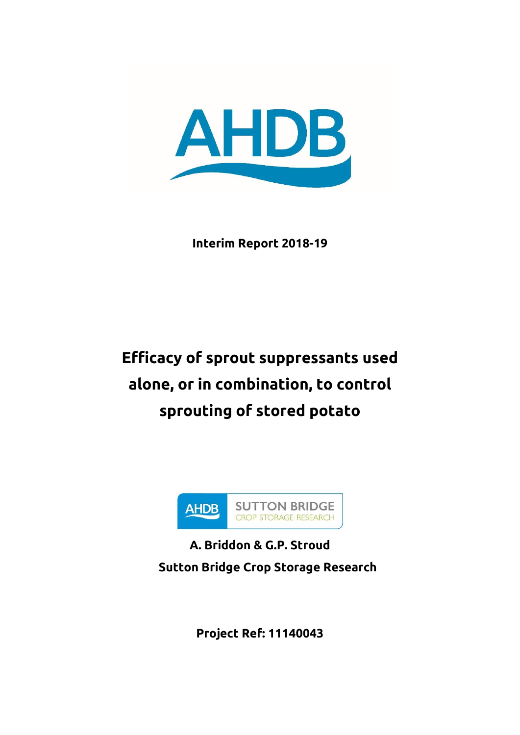

**Interim Report 2018-19**

# **Efficacy of sprout suppressants used alone, or in combination, to control sprouting of stored potato**



**A. Briddon & G.P. Stroud Sutton Bridge Crop Storage Research**

**Project Ref: 11140043**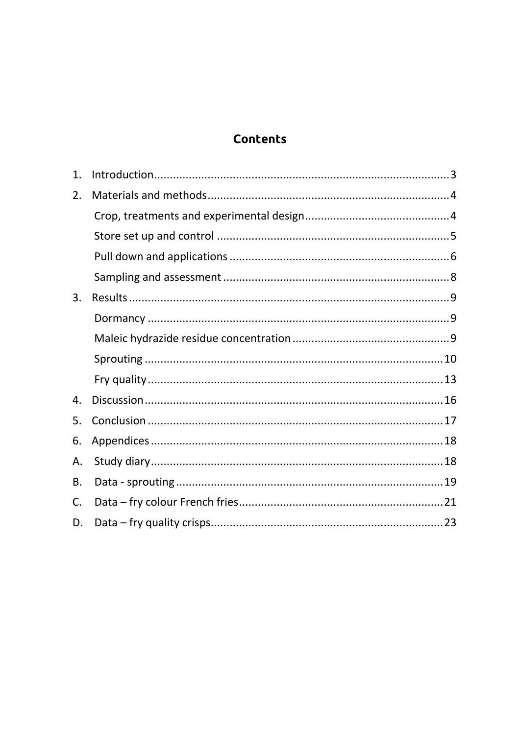# **Contents**

| 1.        |  |
|-----------|--|
| 2.        |  |
|           |  |
|           |  |
|           |  |
|           |  |
| 3.        |  |
|           |  |
|           |  |
|           |  |
|           |  |
| 4.        |  |
| 5.        |  |
| 6.        |  |
| Α.        |  |
| <b>B.</b> |  |
| C.        |  |
| D.        |  |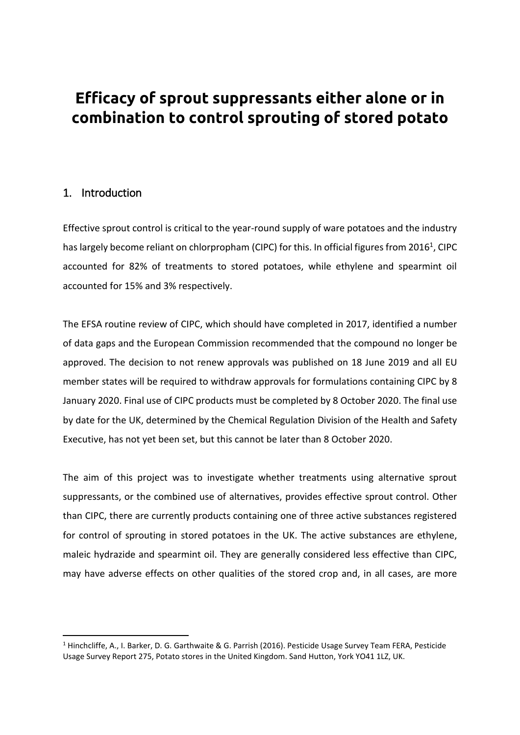# **Efficacy of sprout suppressants either alone or in combination to control sprouting of stored potato**

## <span id="page-2-0"></span>1. Introduction

**.** 

Effective sprout control is critical to the year-round supply of ware potatoes and the industry has largely become reliant on chlorpropham (CIPC) for this. In official figures from 2016<sup>1</sup>, CIPC accounted for 82% of treatments to stored potatoes, while ethylene and spearmint oil accounted for 15% and 3% respectively.

The EFSA routine review of CIPC, which should have completed in 2017, identified a number of data gaps and the European Commission recommended that the compound no longer be approved. The decision to not renew approvals was published on 18 June 2019 and all EU member states will be required to withdraw approvals for formulations containing CIPC by 8 January 2020. Final use of CIPC products must be completed by 8 October 2020. The final use by date for the UK, determined by the Chemical Regulation Division of the Health and Safety Executive, has not yet been set, but this cannot be later than 8 October 2020.

The aim of this project was to investigate whether treatments using alternative sprout suppressants, or the combined use of alternatives, provides effective sprout control. Other than CIPC, there are currently products containing one of three active substances registered for control of sprouting in stored potatoes in the UK. The active substances are ethylene, maleic hydrazide and spearmint oil. They are generally considered less effective than CIPC, may have adverse effects on other qualities of the stored crop and, in all cases, are more

<sup>&</sup>lt;sup>1</sup> Hinchcliffe, A., I. Barker, D. G. Garthwaite & G. Parrish (2016). Pesticide Usage Survey Team FERA, Pesticide Usage Survey Report 275, Potato stores in the United Kingdom. Sand Hutton, York YO41 1LZ, UK.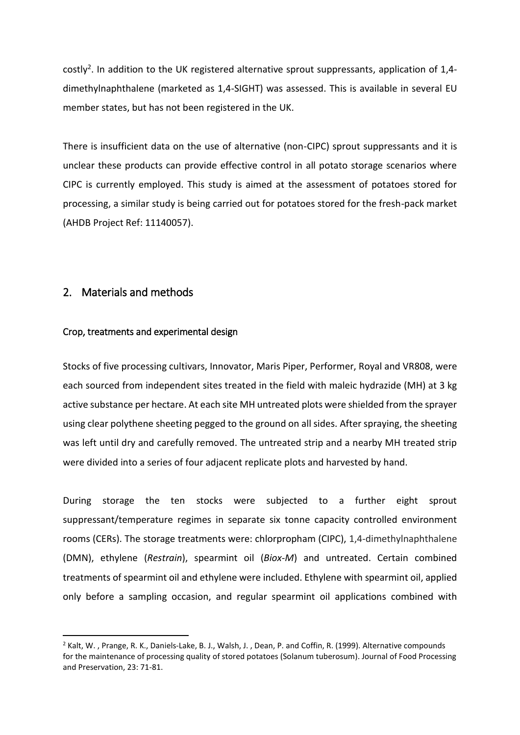costly<sup>2</sup>. In addition to the UK registered alternative sprout suppressants, application of 1,4dimethylnaphthalene (marketed as 1,4-SIGHT) was assessed. This is available in several EU member states, but has not been registered in the UK.

There is insufficient data on the use of alternative (non-CIPC) sprout suppressants and it is unclear these products can provide effective control in all potato storage scenarios where CIPC is currently employed. This study is aimed at the assessment of potatoes stored for processing, a similar study is being carried out for potatoes stored for the fresh-pack market (AHDB Project Ref: 11140057).

### <span id="page-3-0"></span>2. Materials and methods

**.** 

#### <span id="page-3-1"></span>Crop, treatments and experimental design

Stocks of five processing cultivars, Innovator, Maris Piper, Performer, Royal and VR808, were each sourced from independent sites treated in the field with maleic hydrazide (MH) at 3 kg active substance per hectare. At each site MH untreated plots were shielded from the sprayer using clear polythene sheeting pegged to the ground on all sides. After spraying, the sheeting was left until dry and carefully removed. The untreated strip and a nearby MH treated strip were divided into a series of four adjacent replicate plots and harvested by hand.

During storage the ten stocks were subjected to a further eight sprout suppressant/temperature regimes in separate six tonne capacity controlled environment rooms (CERs). The storage treatments were: chlorpropham (CIPC), 1,4-dimethylnaphthalene (DMN), ethylene (*Restrain*), spearmint oil (*Biox-M*) and untreated. Certain combined treatments of spearmint oil and ethylene were included. Ethylene with spearmint oil, applied only before a sampling occasion, and regular spearmint oil applications combined with

<sup>&</sup>lt;sup>2</sup> Kalt, W., Prange, R. K., Daniels-Lake, B. J., Walsh, J., Dean, P. and Coffin, R. (1999). Alternative compounds for the maintenance of processing quality of stored potatoes (Solanum tuberosum). Journal of Food Processing and Preservation, 23: 71-81.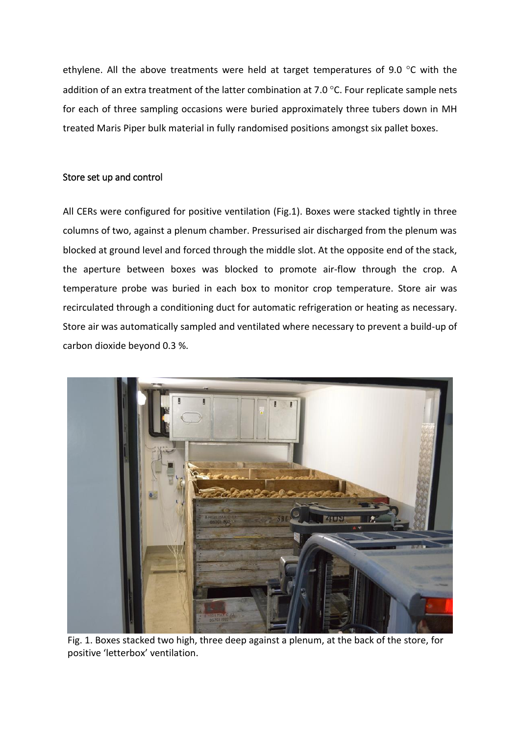ethylene. All the above treatments were held at target temperatures of 9.0  $\degree$ C with the addition of an extra treatment of the latter combination at 7.0  $\degree$ C. Four replicate sample nets for each of three sampling occasions were buried approximately three tubers down in MH treated Maris Piper bulk material in fully randomised positions amongst six pallet boxes.

#### <span id="page-4-0"></span>Store set up and control

All CERs were configured for positive ventilation (Fig.1). Boxes were stacked tightly in three columns of two, against a plenum chamber. Pressurised air discharged from the plenum was blocked at ground level and forced through the middle slot. At the opposite end of the stack, the aperture between boxes was blocked to promote air-flow through the crop. A temperature probe was buried in each box to monitor crop temperature. Store air was recirculated through a conditioning duct for automatic refrigeration or heating as necessary. Store air was automatically sampled and ventilated where necessary to prevent a build-up of carbon dioxide beyond 0.3 %.



Fig. 1. Boxes stacked two high, three deep against a plenum, at the back of the store, for positive 'letterbox' ventilation.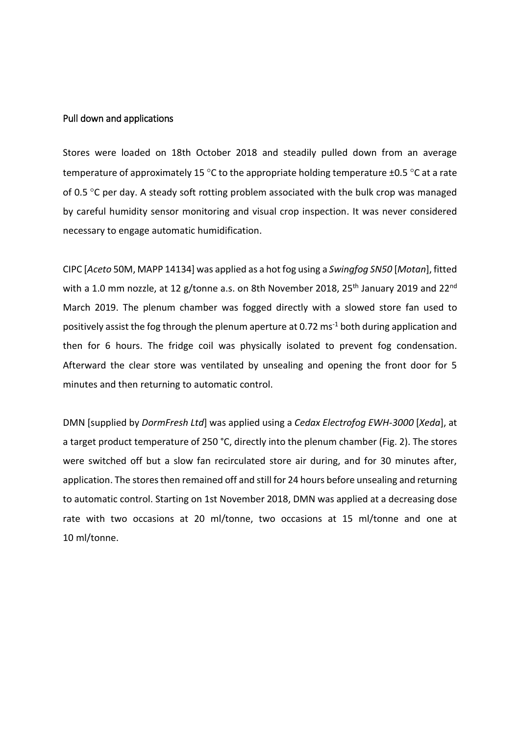#### <span id="page-5-0"></span>Pull down and applications

Stores were loaded on 18th October 2018 and steadily pulled down from an average temperature of approximately 15 °C to the appropriate holding temperature  $\pm$ 0.5 °C at a rate of 0.5  $\degree$ C per day. A steady soft rotting problem associated with the bulk crop was managed by careful humidity sensor monitoring and visual crop inspection. It was never considered necessary to engage automatic humidification.

CIPC [*Aceto* 50M, MAPP 14134] was applied as a hot fog using a *Swingfog SN50* [*Motan*], fitted with a 1.0 mm nozzle, at 12 g/tonne a.s. on 8th November 2018, 25<sup>th</sup> January 2019 and 22<sup>nd</sup> March 2019. The plenum chamber was fogged directly with a slowed store fan used to positively assist the fog through the plenum aperture at 0.72 ms<sup>-1</sup> both during application and then for 6 hours. The fridge coil was physically isolated to prevent fog condensation. Afterward the clear store was ventilated by unsealing and opening the front door for 5 minutes and then returning to automatic control.

DMN [supplied by *DormFresh Ltd*] was applied using a *Cedax Electrofog EWH-3000* [*Xeda*], at a target product temperature of 250 °C, directly into the plenum chamber (Fig. 2). The stores were switched off but a slow fan recirculated store air during, and for 30 minutes after, application. The stores then remained off and still for 24 hours before unsealing and returning to automatic control. Starting on 1st November 2018, DMN was applied at a decreasing dose rate with two occasions at 20 ml/tonne, two occasions at 15 ml/tonne and one at 10 ml/tonne.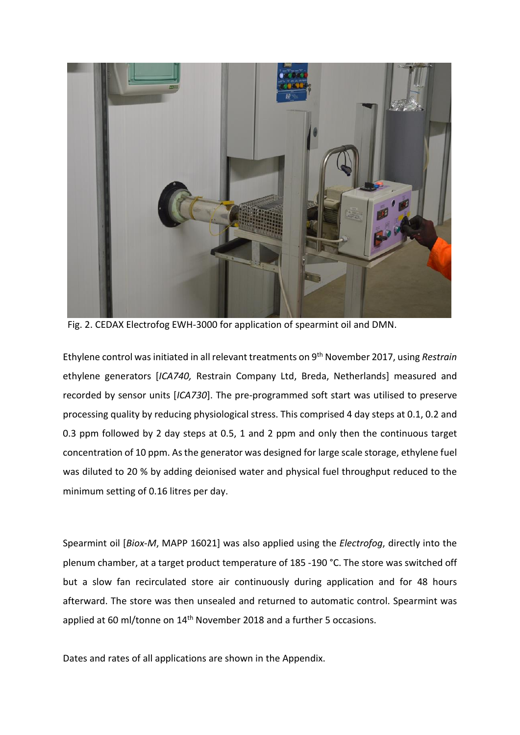

Fig. 2. CEDAX Electrofog EWH-3000 for application of spearmint oil and DMN.

Ethylene control was initiated in all relevant treatments on 9th November 2017, using *Restrain* ethylene generators [*ICA740,* Restrain Company Ltd, Breda, Netherlands] measured and recorded by sensor units [*ICA730*]. The pre-programmed soft start was utilised to preserve processing quality by reducing physiological stress. This comprised 4 day steps at 0.1, 0.2 and 0.3 ppm followed by 2 day steps at 0.5, 1 and 2 ppm and only then the continuous target concentration of 10 ppm. As the generator was designed for large scale storage, ethylene fuel was diluted to 20 % by adding deionised water and physical fuel throughput reduced to the minimum setting of 0.16 litres per day.

Spearmint oil [*Biox-M*, MAPP 16021] was also applied using the *Electrofog*, directly into the plenum chamber, at a target product temperature of 185 -190 °C. The store was switched off but a slow fan recirculated store air continuously during application and for 48 hours afterward. The store was then unsealed and returned to automatic control. Spearmint was applied at 60 ml/tonne on 14<sup>th</sup> November 2018 and a further 5 occasions.

Dates and rates of all applications are shown in the Appendix.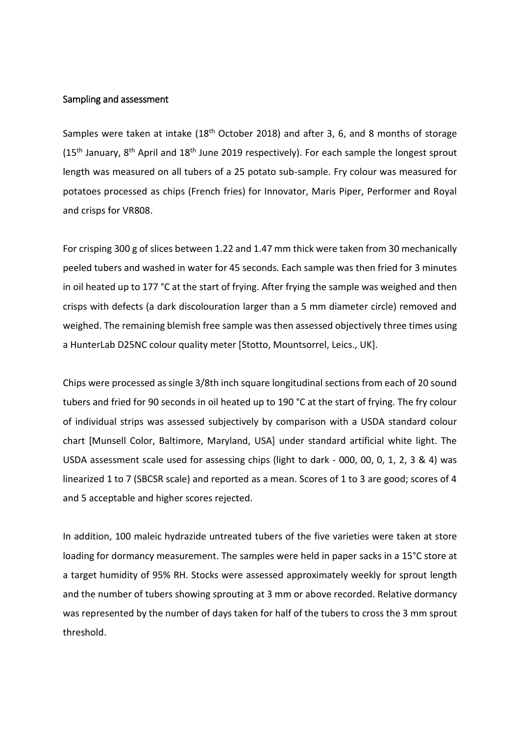#### <span id="page-7-0"></span>Sampling and assessment

Samples were taken at intake (18<sup>th</sup> October 2018) and after 3, 6, and 8 months of storage ( $15<sup>th</sup>$  January,  $8<sup>th</sup>$  April and  $18<sup>th</sup>$  June 2019 respectively). For each sample the longest sprout length was measured on all tubers of a 25 potato sub-sample. Fry colour was measured for potatoes processed as chips (French fries) for Innovator, Maris Piper, Performer and Royal and crisps for VR808.

For crisping 300 g of slices between 1.22 and 1.47 mm thick were taken from 30 mechanically peeled tubers and washed in water for 45 seconds. Each sample was then fried for 3 minutes in oil heated up to 177 °C at the start of frying. After frying the sample was weighed and then crisps with defects (a dark discolouration larger than a 5 mm diameter circle) removed and weighed. The remaining blemish free sample was then assessed objectively three times using a HunterLab D25NC colour quality meter [Stotto, Mountsorrel, Leics., UK].

Chips were processed as single 3/8th inch square longitudinal sections from each of 20 sound tubers and fried for 90 seconds in oil heated up to 190 °C at the start of frying. The fry colour of individual strips was assessed subjectively by comparison with a USDA standard colour chart [Munsell Color, Baltimore, Maryland, USA] under standard artificial white light. The USDA assessment scale used for assessing chips (light to dark - 000, 00, 0, 1, 2, 3 & 4) was linearized 1 to 7 (SBCSR scale) and reported as a mean. Scores of 1 to 3 are good; scores of 4 and 5 acceptable and higher scores rejected.

In addition, 100 maleic hydrazide untreated tubers of the five varieties were taken at store loading for dormancy measurement. The samples were held in paper sacks in a 15°C store at a target humidity of 95% RH. Stocks were assessed approximately weekly for sprout length and the number of tubers showing sprouting at 3 mm or above recorded. Relative dormancy was represented by the number of days taken for half of the tubers to cross the 3 mm sprout threshold.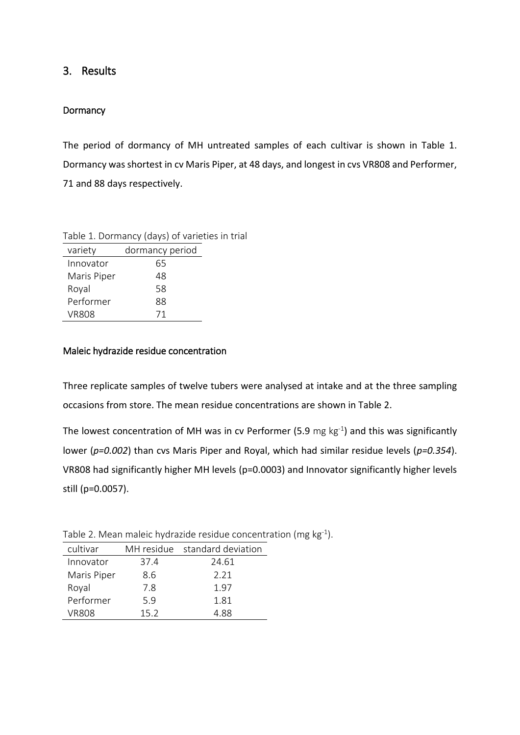### <span id="page-8-0"></span>3. Results

#### <span id="page-8-1"></span>**Dormancy**

The period of dormancy of MH untreated samples of each cultivar is shown in Table 1. Dormancy was shortest in cv Maris Piper, at 48 days, and longest in cvs VR808 and Performer, 71 and 88 days respectively.

|              | Table 1. Dormancy (days) of varieties in trial |  |
|--------------|------------------------------------------------|--|
| variety      | dormancy period                                |  |
| Innovator    | 65                                             |  |
| Maris Piper  | 48                                             |  |
| Royal        | 58                                             |  |
| Performer    | 88                                             |  |
| <b>VR808</b> | 71                                             |  |

#### <span id="page-8-2"></span>Maleic hydrazide residue concentration

Three replicate samples of twelve tubers were analysed at intake and at the three sampling occasions from store. The mean residue concentrations are shown in Table 2.

The lowest concentration of MH was in cv Performer (5.9 mg  $kg^{-1}$ ) and this was significantly lower (*p=0.002*) than cvs Maris Piper and Royal, which had similar residue levels (*p=0.354*). VR808 had significantly higher MH levels (p=0.0003) and Innovator significantly higher levels still (p=0.0057).

| cultivar    |      | MH residue standard deviation |
|-------------|------|-------------------------------|
| Innovator   | 37.4 | 24.61                         |
| Maris Piper | 8.6  | 2.21                          |
| Royal       | 7.8  | 1.97                          |
| Performer   | 5.9  | 1.81                          |
| VR808       | 15.2 | 4 88                          |

Table 2. Mean maleic hydrazide residue concentration (mg  $kg^{-1}$ ).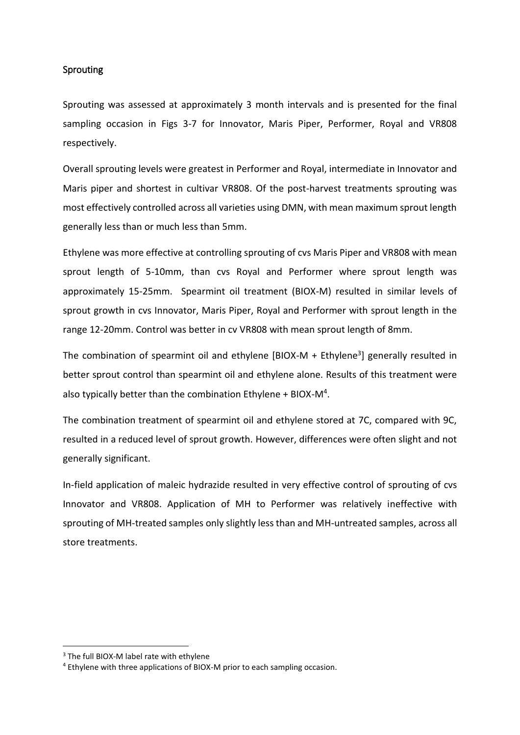#### <span id="page-9-0"></span>**Sprouting**

Sprouting was assessed at approximately 3 month intervals and is presented for the final sampling occasion in Figs 3-7 for Innovator, Maris Piper, Performer, Royal and VR808 respectively.

Overall sprouting levels were greatest in Performer and Royal, intermediate in Innovator and Maris piper and shortest in cultivar VR808. Of the post-harvest treatments sprouting was most effectively controlled across all varieties using DMN, with mean maximum sprout length generally less than or much less than 5mm.

Ethylene was more effective at controlling sprouting of cvs Maris Piper and VR808 with mean sprout length of 5-10mm, than cvs Royal and Performer where sprout length was approximately 15-25mm. Spearmint oil treatment (BIOX-M) resulted in similar levels of sprout growth in cvs Innovator, Maris Piper, Royal and Performer with sprout length in the range 12-20mm. Control was better in cv VR808 with mean sprout length of 8mm.

The combination of spearmint oil and ethylene [BIOX-M + Ethylene<sup>3</sup>] generally resulted in better sprout control than spearmint oil and ethylene alone. Results of this treatment were also typically better than the combination Ethylene + BIOX-M<sup>4</sup>.

The combination treatment of spearmint oil and ethylene stored at 7C, compared with 9C, resulted in a reduced level of sprout growth. However, differences were often slight and not generally significant.

In-field application of maleic hydrazide resulted in very effective control of sprouting of cvs Innovator and VR808. Application of MH to Performer was relatively ineffective with sprouting of MH-treated samples only slightly less than and MH-untreated samples, across all store treatments.

1

<sup>&</sup>lt;sup>3</sup> The full BIOX-M label rate with ethylene

<sup>4</sup> Ethylene with three applications of BIOX-M prior to each sampling occasion.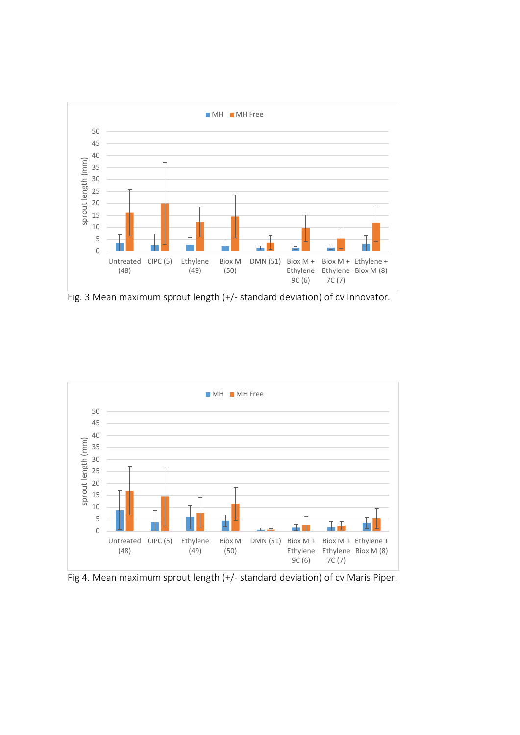

Fig. 3 Mean maximum sprout length (+/- standard deviation) of cv Innovator.



Fig 4. Mean maximum sprout length (+/- standard deviation) of cv Maris Piper.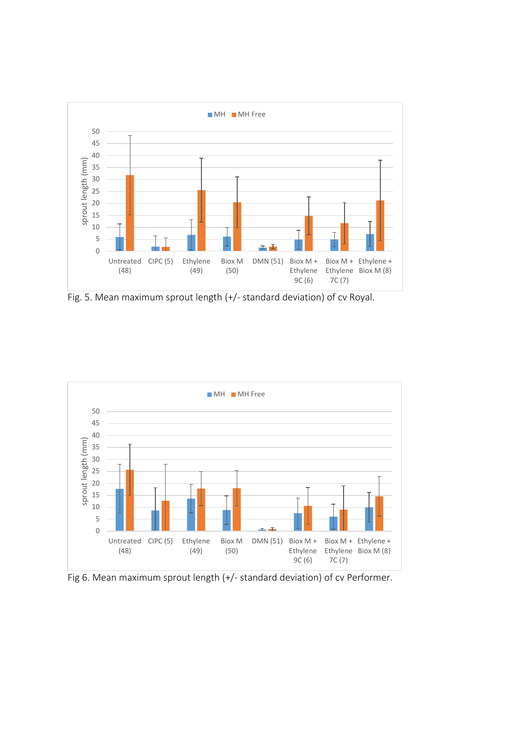

Fig. 5. Mean maximum sprout length (+/- standard deviation) of cv Royal.



Fig 6. Mean maximum sprout length (+/- standard deviation) of cv Performer.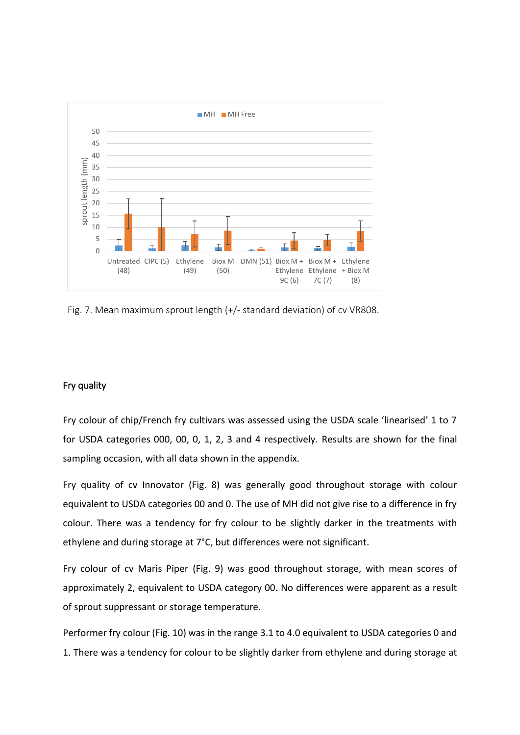

Fig. 7. Mean maximum sprout length (+/- standard deviation) of cv VR808.

#### <span id="page-12-0"></span>Fry quality

Fry colour of chip/French fry cultivars was assessed using the USDA scale 'linearised' 1 to 7 for USDA categories 000, 00, 0, 1, 2, 3 and 4 respectively. Results are shown for the final sampling occasion, with all data shown in the appendix.

Fry quality of cv Innovator (Fig. 8) was generally good throughout storage with colour equivalent to USDA categories 00 and 0. The use of MH did not give rise to a difference in fry colour. There was a tendency for fry colour to be slightly darker in the treatments with ethylene and during storage at 7°C, but differences were not significant.

Fry colour of cv Maris Piper (Fig. 9) was good throughout storage, with mean scores of approximately 2, equivalent to USDA category 00. No differences were apparent as a result of sprout suppressant or storage temperature.

Performer fry colour (Fig. 10) was in the range 3.1 to 4.0 equivalent to USDA categories 0 and 1. There was a tendency for colour to be slightly darker from ethylene and during storage at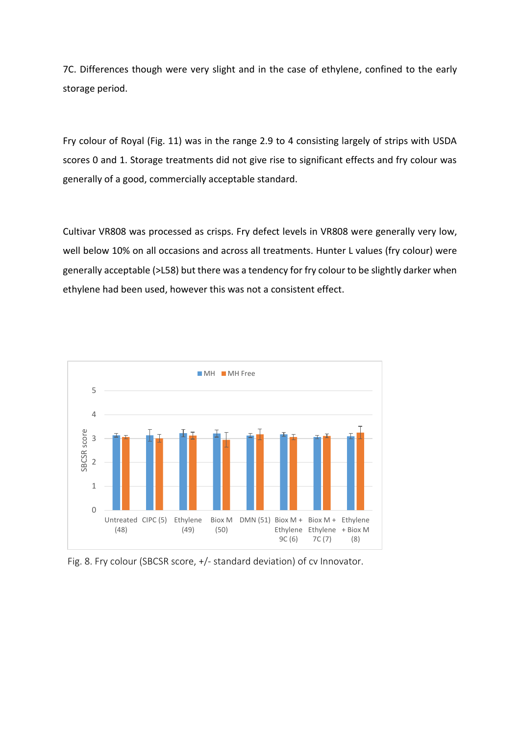7C. Differences though were very slight and in the case of ethylene, confined to the early storage period.

Fry colour of Royal (Fig. 11) was in the range 2.9 to 4 consisting largely of strips with USDA scores 0 and 1. Storage treatments did not give rise to significant effects and fry colour was generally of a good, commercially acceptable standard.

Cultivar VR808 was processed as crisps. Fry defect levels in VR808 were generally very low, well below 10% on all occasions and across all treatments. Hunter L values (fry colour) were generally acceptable (>L58) but there was a tendency for fry colour to be slightly darker when ethylene had been used, however this was not a consistent effect.



Fig. 8. Fry colour (SBCSR score, +/- standard deviation) of cv Innovator.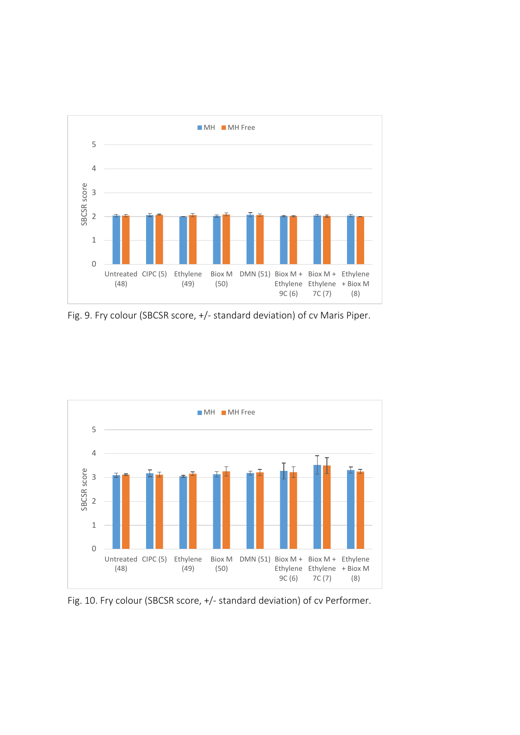

Fig. 9. Fry colour (SBCSR score, +/- standard deviation) of cv Maris Piper.



Fig. 10. Fry colour (SBCSR score, +/- standard deviation) of cv Performer.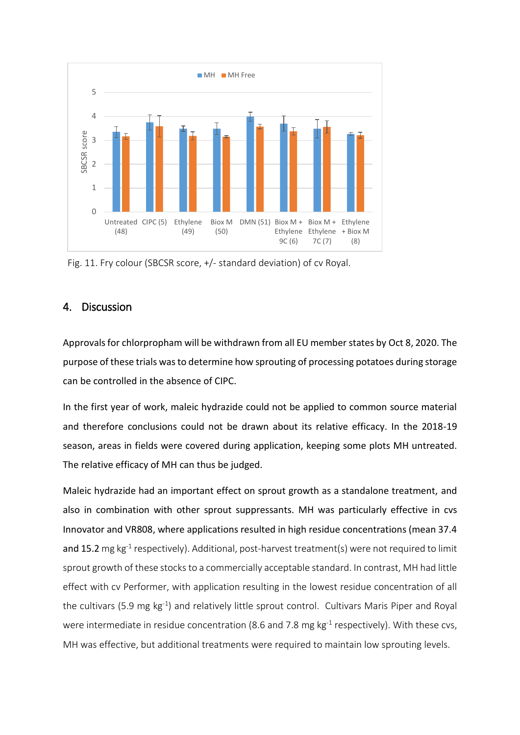

Fig. 11. Fry colour (SBCSR score, +/- standard deviation) of cv Royal.

### <span id="page-15-0"></span>4. Discussion

Approvals for chlorpropham will be withdrawn from all EU member states by Oct 8, 2020. The purpose of these trials was to determine how sprouting of processing potatoes during storage can be controlled in the absence of CIPC.

In the first year of work, maleic hydrazide could not be applied to common source material and therefore conclusions could not be drawn about its relative efficacy. In the 2018-19 season, areas in fields were covered during application, keeping some plots MH untreated. The relative efficacy of MH can thus be judged.

Maleic hydrazide had an important effect on sprout growth as a standalone treatment, and also in combination with other sprout suppressants. MH was particularly effective in cvs Innovator and VR808, where applications resulted in high residue concentrations (mean 37.4 and 15.2 mg kg<sup>-1</sup> respectively). Additional, post-harvest treatment(s) were not required to limit sprout growth of these stocks to a commercially acceptable standard. In contrast, MH had little effect with cv Performer, with application resulting in the lowest residue concentration of all the cultivars (5.9 mg kg<sup>-1</sup>) and relatively little sprout control. Cultivars Maris Piper and Royal were intermediate in residue concentration (8.6 and 7.8 mg  $kg^{-1}$  respectively). With these cvs, MH was effective, but additional treatments were required to maintain low sprouting levels.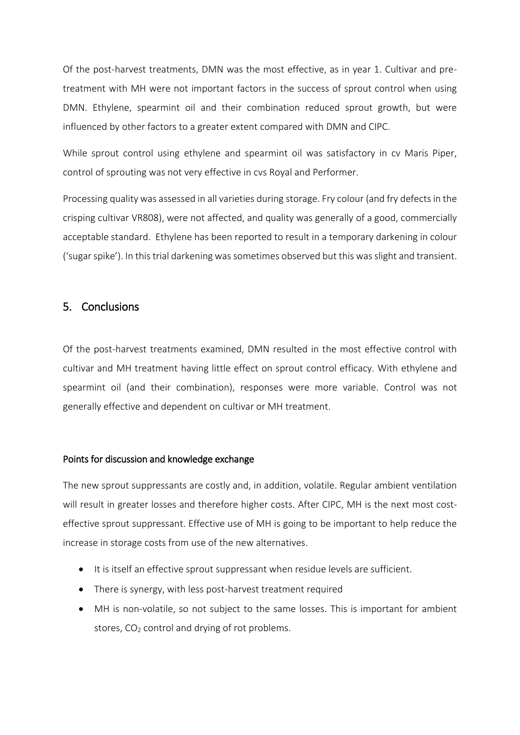Of the post-harvest treatments, DMN was the most effective, as in year 1. Cultivar and pretreatment with MH were not important factors in the success of sprout control when using DMN. Ethylene, spearmint oil and their combination reduced sprout growth, but were influenced by other factors to a greater extent compared with DMN and CIPC.

While sprout control using ethylene and spearmint oil was satisfactory in cv Maris Piper, control of sprouting was not very effective in cvs Royal and Performer.

Processing quality was assessed in all varieties during storage. Fry colour (and fry defects in the crisping cultivar VR808), were not affected, and quality was generally of a good, commercially acceptable standard. Ethylene has been reported to result in a temporary darkening in colour ('sugar spike'). In this trial darkening was sometimes observed but this was slight and transient.

### <span id="page-16-0"></span>5. Conclusions

Of the post-harvest treatments examined, DMN resulted in the most effective control with cultivar and MH treatment having little effect on sprout control efficacy. With ethylene and spearmint oil (and their combination), responses were more variable. Control was not generally effective and dependent on cultivar or MH treatment.

#### Points for discussion and knowledge exchange

The new sprout suppressants are costly and, in addition, volatile. Regular ambient ventilation will result in greater losses and therefore higher costs. After CIPC, MH is the next most costeffective sprout suppressant. Effective use of MH is going to be important to help reduce the increase in storage costs from use of the new alternatives.

- It is itself an effective sprout suppressant when residue levels are sufficient.
- There is synergy, with less post-harvest treatment required
- MH is non-volatile, so not subject to the same losses. This is important for ambient stores,  $CO<sub>2</sub>$  control and drying of rot problems.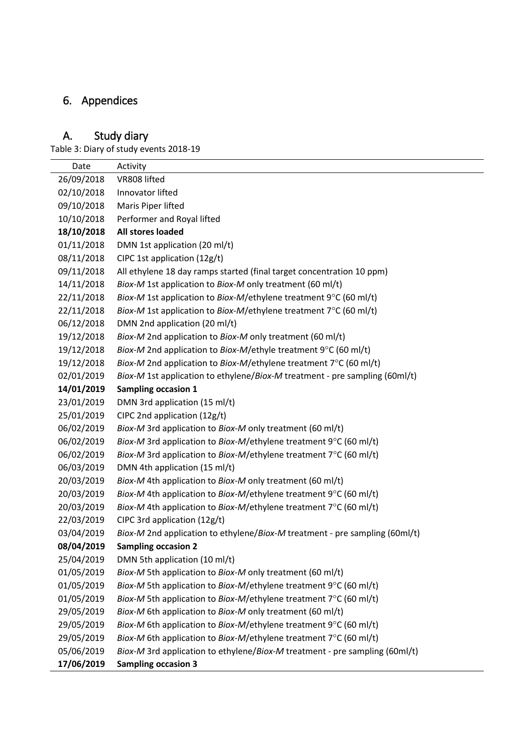# <span id="page-17-0"></span>6. Appendices

## <span id="page-17-1"></span>A. Study diary

Table 3: Diary of study events 2018-19

<span id="page-17-2"></span>

| Date       | Activity                                                                                   |
|------------|--------------------------------------------------------------------------------------------|
| 26/09/2018 | VR808 lifted                                                                               |
| 02/10/2018 | Innovator lifted                                                                           |
| 09/10/2018 | Maris Piper lifted                                                                         |
| 10/10/2018 | Performer and Royal lifted                                                                 |
| 18/10/2018 | All stores loaded                                                                          |
| 01/11/2018 | DMN 1st application (20 ml/t)                                                              |
| 08/11/2018 | CIPC 1st application (12g/t)                                                               |
| 09/11/2018 | All ethylene 18 day ramps started (final target concentration 10 ppm)                      |
| 14/11/2018 | Biox-M 1st application to Biox-M only treatment (60 ml/t)                                  |
| 22/11/2018 | Biox-M 1st application to Biox-M/ethylene treatment 9°C (60 ml/t)                          |
| 22/11/2018 | Biox-M 1st application to Biox-M/ethylene treatment $7^{\circ}$ C (60 ml/t)                |
| 06/12/2018 | DMN 2nd application (20 ml/t)                                                              |
| 19/12/2018 | Biox-M 2nd application to Biox-M only treatment (60 ml/t)                                  |
| 19/12/2018 | Biox-M 2nd application to Biox-M/ethyle treatment 9°C (60 ml/t)                            |
| 19/12/2018 | Biox-M 2nd application to Biox-M/ethylene treatment 7°C (60 ml/t)                          |
| 02/01/2019 | Biox-M 1st application to ethylene/Biox-M treatment - pre sampling (60ml/t)                |
| 14/01/2019 | <b>Sampling occasion 1</b>                                                                 |
| 23/01/2019 | DMN 3rd application (15 ml/t)                                                              |
| 25/01/2019 | CIPC 2nd application (12g/t)                                                               |
| 06/02/2019 | Biox-M 3rd application to Biox-M only treatment (60 ml/t)                                  |
| 06/02/2019 | <i>Biox-M</i> 3rd application to <i>Biox-M</i> /ethylene treatment $9^{\circ}$ C (60 ml/t) |
| 06/02/2019 | <i>Biox-M</i> 3rd application to <i>Biox-M</i> /ethylene treatment $7^{\circ}$ C (60 ml/t) |
| 06/03/2019 | DMN 4th application (15 ml/t)                                                              |
| 20/03/2019 | Biox-M 4th application to Biox-M only treatment (60 ml/t)                                  |
| 20/03/2019 | Biox-M 4th application to Biox-M/ethylene treatment $9^{\circ}$ C (60 ml/t)                |
| 20/03/2019 | Biox-M 4th application to Biox-M/ethylene treatment 7°C (60 ml/t)                          |
| 22/03/2019 | CIPC 3rd application (12g/t)                                                               |
| 03/04/2019 | Biox-M 2nd application to ethylene/Biox-M treatment - pre sampling (60ml/t)                |
| 08/04/2019 | <b>Sampling occasion 2</b>                                                                 |
| 25/04/2019 | DMN 5th application (10 ml/t)                                                              |
| 01/05/2019 | Biox-M 5th application to Biox-M only treatment (60 ml/t)                                  |
| 01/05/2019 | Biox-M 5th application to Biox-M/ethylene treatment 9°C (60 ml/t)                          |
| 01/05/2019 | Biox-M 5th application to Biox-M/ethylene treatment 7°C (60 ml/t)                          |
| 29/05/2019 | Biox-M 6th application to Biox-M only treatment (60 ml/t)                                  |
| 29/05/2019 | <i>Biox-M</i> 6th application to <i>Biox-M</i> /ethylene treatment $9^{\circ}$ C (60 ml/t) |
| 29/05/2019 | <i>Biox-M</i> 6th application to <i>Biox-M</i> /ethylene treatment $7^{\circ}$ C (60 ml/t) |
| 05/06/2019 | Biox-M 3rd application to ethylene/Biox-M treatment - pre sampling (60ml/t)                |
| 17/06/2019 | <b>Sampling occasion 3</b>                                                                 |

 $\overline{\phantom{a}}$ Щ,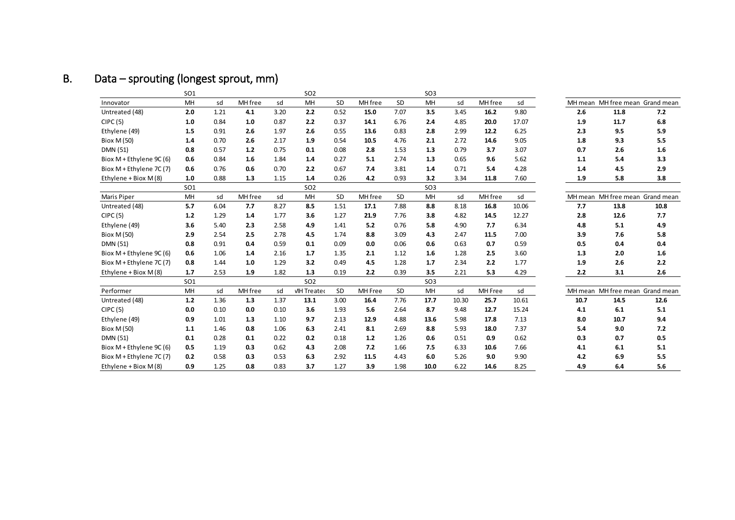# B. Data – sprouting (longest sprout, mm)

|                          | <b>SO1</b> |      |         |      | <b>SO2</b>         |           |         |           | SO <sub>3</sub> |       |         |       |         |      |                                 |
|--------------------------|------------|------|---------|------|--------------------|-----------|---------|-----------|-----------------|-------|---------|-------|---------|------|---------------------------------|
| Innovator                | MH         | sd   | MH free | sd   | MH                 | <b>SD</b> | MH free | <b>SD</b> | MH              | sd    | MH free | sd    | MH mean |      | MH free mean Grand mean         |
| Untreated (48)           | 2.0        | 1.21 | 4.1     | 3.20 | 2.2                | 0.52      | 15.0    | 7.07      | 3.5             | 3.45  | 16.2    | 9.80  | 2.6     | 11.8 | 7.2                             |
| CIPC(5)                  | 1.0        | 0.84 | 1.0     | 0.87 | 2.2                | 0.37      | 14.1    | 6.76      | 2.4             | 4.85  | 20.0    | 17.07 | 1.9     | 11.7 | 6.8                             |
| Ethylene (49)            | 1.5        | 0.91 | 2.6     | 1.97 | 2.6                | 0.55      | 13.6    | 0.83      | 2.8             | 2.99  | 12.2    | 6.25  | 2.3     | 9.5  | 5.9                             |
| Biox M (50)              | 1.4        | 0.70 | 2.6     | 2.17 | 1.9                | 0.54      | 10.5    | 4.76      | 2.1             | 2.72  | 14.6    | 9.05  | 1.8     | 9.3  | 5.5                             |
| DMN (51)                 | 0.8        | 0.57 | 1.2     | 0.75 | 0.1                | 0.08      | 2.8     | 1.53      | 1.3             | 0.79  | 3.7     | 3.07  | 0.7     | 2.6  | 1.6                             |
| Biox M + Ethylene 9C (6) | 0.6        | 0.84 | 1.6     | 1.84 | 1.4                | 0.27      | 5.1     | 2.74      | 1.3             | 0.65  | 9.6     | 5.62  | 1.1     | 5.4  | 3.3                             |
| Biox M + Ethylene 7C (7) | 0.6        | 0.76 | 0.6     | 0.70 | 2.2                | 0.67      | 7.4     | 3.81      | 1.4             | 0.71  | 5.4     | 4.28  | 1.4     | 4.5  | 2.9                             |
| Ethylene + Biox M (8)    | 1.0        | 0.88 | 1.3     | 1.15 | 1.4                | 0.26      | 4.2     | 0.93      | 3.2             | 3.34  | 11.8    | 7.60  | 1.9     | 5.8  | 3.8                             |
|                          | <b>SO1</b> |      |         |      | SO <sub>2</sub>    |           |         |           | SO <sub>3</sub> |       |         |       |         |      |                                 |
| Maris Piper              | MH         | sd   | MH free | sd   | MH                 | SD        | MH free | SD        | MH              | sd    | MH free | sd    |         |      | MH mean MH free mean Grand mean |
| Untreated (48)           | 5.7        | 6.04 | 7.7     | 8.27 | 8.5                | 1.51      | 17.1    | 7.88      | 8.8             | 8.18  | 16.8    | 10.06 | 7.7     | 13.8 | 10.8                            |
| CIPC(5)                  | 1.2        | 1.29 | 1.4     | 1.77 | 3.6                | 1.27      | 21.9    | 7.76      | 3.8             | 4.82  | 14.5    | 12.27 | 2.8     | 12.6 | 7.7                             |
| Ethylene (49)            | 3.6        | 5.40 | 2.3     | 2.58 | 4.9                | 1.41      | 5.2     | 0.76      | 5.8             | 4.90  | 7.7     | 6.34  | 4.8     | 5.1  | 4.9                             |
| Biox M (50)              | 2.9        | 2.54 | 2.5     | 2.78 | 4.5                | 1.74      | 8.8     | 3.09      | 4.3             | 2.47  | 11.5    | 7.00  | 3.9     | 7.6  | 5.8                             |
| DMN (51)                 | 0.8        | 0.91 | 0.4     | 0.59 | 0.1                | 0.09      | 0.0     | 0.06      | 0.6             | 0.63  | 0.7     | 0.59  | 0.5     | 0.4  | 0.4                             |
| Biox M + Ethylene 9C (6) | 0.6        | 1.06 | 1.4     | 2.16 | 1.7                | 1.35      | 2.1     | 1.12      | 1.6             | 1.28  | 2.5     | 3.60  | 1.3     | 2.0  | 1.6                             |
| Biox M + Ethylene 7C (7) | 0.8        | 1.44 | 1.0     | 1.29 | 3.2                | 0.49      | 4.5     | 1.28      | 1.7             | 2.34  | 2.2     | 1.77  | 1.9     | 2.6  | 2.2                             |
| Ethylene + Biox M (8)    | 1.7        | 2.53 | 1.9     | 1.82 | 1.3                | 0.19      | 2.2     | 0.39      | 3.5             | 2.21  | 5.3     | 4.29  | 2.2     | 3.1  | 2.6                             |
|                          | <b>SO1</b> |      |         |      | SO <sub>2</sub>    |           |         |           | SO <sub>3</sub> |       |         |       |         |      |                                 |
| Performer                | MH         | sd   | MH free | sd   | <b>VIH Treated</b> | SD        | MH Free | SD        | MH              | sd    | MH Free | sd    |         |      | MH mean MH free mean Grand mean |
| Untreated (48)           | 1.2        | 1.36 | 1.3     | 1.37 | 13.1               | 3.00      | 16.4    | 7.76      | 17.7            | 10.30 | 25.7    | 10.61 | 10.7    | 14.5 | 12.6                            |
| CIPC(5)                  | 0.0        | 0.10 | 0.0     | 0.10 | 3.6                | 1.93      | 5.6     | 2.64      | 8.7             | 9.48  | 12.7    | 15.24 | 4.1     | 6.1  | 5.1                             |
| Ethylene (49)            | 0.9        | 1.01 | 1.3     | 1.10 | 9.7                | 2.13      | 12.9    | 4.88      | 13.6            | 5.98  | 17.8    | 7.13  | 8.0     | 10.7 | 9.4                             |
| Biox M (50)              | 1.1        | 1.46 | 0.8     | 1.06 | 6.3                | 2.41      | 8.1     | 2.69      | 8.8             | 5.93  | 18.0    | 7.37  | 5.4     | 9.0  | 7.2                             |
| DMN (51)                 | 0.1        | 0.28 | 0.1     | 0.22 | 0.2                | 0.18      | 1.2     | 1.26      | 0.6             | 0.51  | 0.9     | 0.62  | 0.3     | 0.7  | 0.5                             |
| Biox M + Ethylene 9C (6) | 0.5        | 1.19 | 0.3     | 0.62 | 4.3                | 2.08      | 7.2     | 1.66      | 7.5             | 6.33  | 10.6    | 7.66  | 4.1     | 6.1  | 5.1                             |
| Biox M + Ethylene 7C (7) | 0.2        | 0.58 | 0.3     | 0.53 | 6.3                | 2.92      | 11.5    | 4.43      | 6.0             | 5.26  | 9.0     | 9.90  | 4.2     | 6.9  | 5.5                             |
| Ethylene + Biox M (8)    | 0.9        | 1.25 | 0.8     | 0.83 | 3.7                | 1.27      | 3.9     | 1.98      | 10.0            | 6.22  | 14.6    | 8.25  | 4.9     | 6.4  | 5.6                             |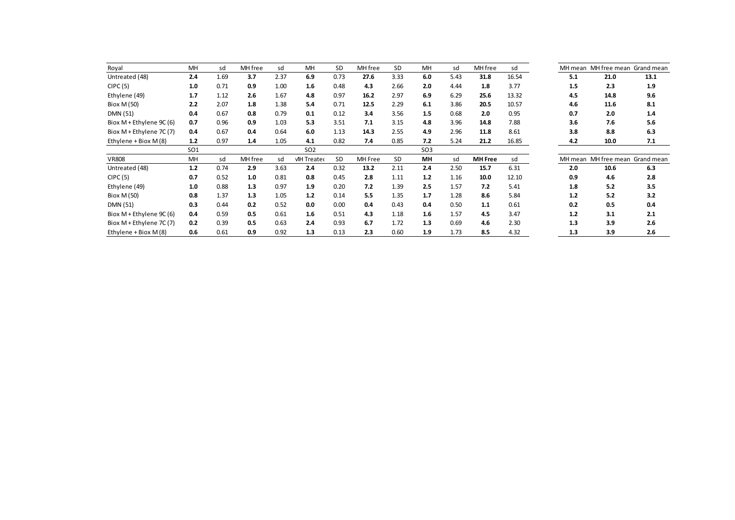| Royal                      | MH              | sd   | MH free | sd   | MH                 | <b>SD</b> | MH free | SD   | MH              | sd   | MH free        | sd    |     |      | MH mean MH free mean Grand mean |
|----------------------------|-----------------|------|---------|------|--------------------|-----------|---------|------|-----------------|------|----------------|-------|-----|------|---------------------------------|
| Untreated (48)             | 2.4             | 1.69 | 3.7     | 2.37 | 6.9                | 0.73      | 27.6    | 3.33 | 6.0             | 5.43 | 31.8           | 16.54 | 5.1 | 21.0 | 13.1                            |
| CIPC(5)                    | 1.0             | 0.71 | 0.9     | 1.00 | 1.6                | 0.48      | 4.3     | 2.66 | 2.0             | 4.44 | 1.8            | 3.77  | 1.5 | 2.3  | 1.9                             |
| Ethylene (49)              | 1.7             | 1.12 | 2.6     | 1.67 | 4.8                | 0.97      | 16.2    | 2.97 | 6.9             | 6.29 | 25.6           | 13.32 | 4.5 | 14.8 | 9.6                             |
| Biox M (50)                | 2.2             | 2.07 | 1.8     | 1.38 | 5.4                | 0.71      | 12.5    | 2.29 | 6.1             | 3.86 | 20.5           | 10.57 | 4.6 | 11.6 | 8.1                             |
| DMN (51)                   | 0.4             | 0.67 | 0.8     | 0.79 | 0.1                | 0.12      | 3.4     | 3.56 | 1.5             | 0.68 | 2.0            | 0.95  | 0.7 | 2.0  | 1.4                             |
| Biox $M$ + Ethylene 9C (6) | 0.7             | 0.96 | 0.9     | 1.03 | 5.3                | 3.51      | 7.1     | 3.15 | 4.8             | 3.96 | 14.8           | 7.88  | 3.6 | 7.6  | 5.6                             |
| Biox $M$ + Ethylene 7C (7) | 0.4             | 0.67 | 0.4     | 0.64 | 6.0                | 1.13      | 14.3    | 2.55 | 4.9             | 2.96 | 11.8           | 8.61  | 3.8 | 8.8  | 6.3                             |
| Ethylene + Biox M (8)      | 1.2             | 0.97 | 1.4     | 1.05 | 4.1                | 0.82      | 7.4     | 0.85 | 7.2             | 5.24 | 21.2           | 16.85 | 4.2 | 10.0 | 7.1                             |
|                            | SO <sub>1</sub> |      |         |      | SO <sub>2</sub>    |           |         |      | SO <sub>3</sub> |      |                |       |     |      |                                 |
| <b>VR808</b>               | MH              | sd   | MH free | sd   | <b>VIH Treated</b> | <b>SD</b> | MH Free | SD   | MН              | sd   | <b>MH</b> Free | sd    |     |      | MH mean MH free mean Grand mean |
| Untreated (48)             | 1.2             | 0.74 | 2.9     | 3.63 | 2.4                | 0.32      | 13.2    | 2.11 | 2.4             | 2.50 | 15.7           | 6.31  | 2.0 | 10.6 | 6.3                             |
| CIPC(5)                    | 0.7             | 0.52 | 1.0     | 0.81 | 0.8                | 0.45      | 2.8     | 1.11 | 1.2             | 1.16 | 10.0           | 12.10 | 0.9 | 4.6  | 2.8                             |
| Ethylene (49)              | 1.0             | 0.88 | 1.3     | 0.97 | 1.9                | 0.20      | 7.2     | 1.39 | 2.5             | 1.57 | 7.2            | 5.41  | 1.8 | 5.2  | 3.5                             |
| Biox M (50)                | 0.8             | 1.37 | 1.3     | 1.05 | 1.2                | 0.14      | 5.5     | 1.35 | 1.7             | 1.28 | 8.6            | 5.84  | 1.2 | 5.2  | 3.2                             |
| DMN (51)                   | 0.3             | 0.44 | 0.2     | 0.52 | 0.0                | 0.00      | 0.4     | 0.43 | 0.4             | 0.50 | 1.1            | 0.61  | 0.2 | 0.5  | 0.4                             |
| Biox M + Ethylene 9C (6)   | 0.4             | 0.59 | 0.5     | 0.61 | 1.6                | 0.51      | 4.3     | 1.18 | 1.6             | 1.57 | 4.5            | 3.47  | 1.2 | 3.1  | 2.1                             |
| Biox $M$ + Ethylene 7C (7) | 0.2             | 0.39 | 0.5     | 0.63 | 2.4                | 0.93      | 6.7     | 1.72 | 1.3             | 0.69 | 4.6            | 2.30  | 1.3 | 3.9  | 2.6                             |
| Ethylene + Biox M (8)      | 0.6             | 0.61 | 0.9     | 0.92 | 1.3                | 0.13      | 2.3     | 0.60 | 1.9             | 1.73 | 8.5            | 4.32  | 1.3 | 3.9  | 2.6                             |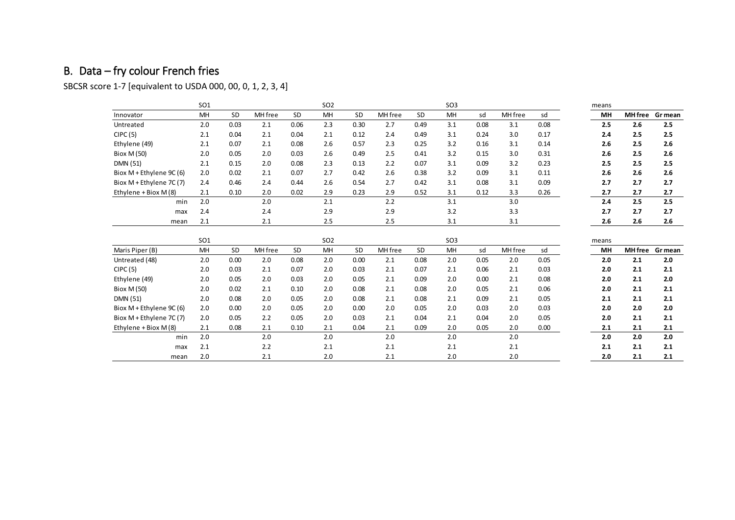# B. Data – fry colour French fries

SBCSR score 1-7 [equivalent to USDA 000, 00, 0, 1, 2, 3, 4]

<span id="page-20-0"></span>

|                          | <b>SO1</b>      |           |         |           | SO <sub>2</sub> |      |         |      | SO <sub>3</sub> |      |         |      | means |     |                 |
|--------------------------|-----------------|-----------|---------|-----------|-----------------|------|---------|------|-----------------|------|---------|------|-------|-----|-----------------|
| Innovator                | MH              | <b>SD</b> | MH free | <b>SD</b> | MH              | SD   | MH free | SD   | MH              | sd   | MH free | sd   | MH    |     | MH free Gr mean |
| Untreated                | 2.0             | 0.03      | 2.1     | 0.06      | 2.3             | 0.30 | 2.7     | 0.49 | 3.1             | 0.08 | 3.1     | 0.08 | 2.5   | 2.6 | 2.5             |
| CIPC(5)                  | 2.1             | 0.04      | 2.1     | 0.04      | 2.1             | 0.12 | 2.4     | 0.49 | 3.1             | 0.24 | 3.0     | 0.17 | 2.4   | 2.5 | 2.5             |
| Ethylene (49)            | 2.1             | 0.07      | 2.1     | 0.08      | 2.6             | 0.57 | 2.3     | 0.25 | 3.2             | 0.16 | 3.1     | 0.14 | 2.6   | 2.5 | 2.6             |
| Biox M (50)              | 2.0             | 0.05      | 2.0     | 0.03      | 2.6             | 0.49 | 2.5     | 0.41 | 3.2             | 0.15 | 3.0     | 0.31 | 2.6   | 2.5 | 2.6             |
| <b>DMN (51)</b>          | 2.1             | 0.15      | 2.0     | 0.08      | 2.3             | 0.13 | 2.2     | 0.07 | 3.1             | 0.09 | 3.2     | 0.23 | 2.5   | 2.5 | 2.5             |
| Biox M + Ethylene 9C (6) | 2.0             | 0.02      | 2.1     | 0.07      | 2.7             | 0.42 | 2.6     | 0.38 | 3.2             | 0.09 | 3.1     | 0.11 | 2.6   | 2.6 | 2.6             |
| Biox M + Ethylene 7C (7) | 2.4             | 0.46      | 2.4     | 0.44      | 2.6             | 0.54 | 2.7     | 0.42 | 3.1             | 0.08 | 3.1     | 0.09 | 2.7   | 2.7 | 2.7             |
| Ethylene + Biox M (8)    | 2.1             | 0.10      | 2.0     | 0.02      | 2.9             | 0.23 | 2.9     | 0.52 | 3.1             | 0.12 | 3.3     | 0.26 | 2.7   | 2.7 | 2.7             |
| min                      | 2.0             |           | 2.0     |           | 2.1             |      | 2.2     |      | 3.1             |      | 3.0     |      | 2.4   | 2.5 | 2.5             |
| max                      | 2.4             |           | 2.4     |           | 2.9             |      | 2.9     |      | 3.2             |      | 3.3     |      | 2.7   | 2.7 | 2.7             |
| mean                     | 2.1             |           | 2.1     |           | 2.5             |      | 2.5     |      | 3.1             |      | 3.1     |      | 2.6   | 2.6 | 2.6             |
|                          |                 |           |         |           |                 |      |         |      |                 |      |         |      |       |     |                 |
|                          | SO <sub>1</sub> |           |         |           | SO <sub>2</sub> |      |         |      | SO <sub>3</sub> |      |         |      | means |     |                 |
| Maris Piper (B)          | MH              | SD        | MH free | <b>SD</b> | MH              | SD   | MH free | SD   | MH              | sd   | MH free | sd   | MH    |     | MH free Gr mean |
| Untreated (48)           | 2.0             | 0.00      | 2.0     | 0.08      | 2.0             | 0.00 | 2.1     | 0.08 | 2.0             | 0.05 | 2.0     | 0.05 | 2.0   | 2.1 | 2.0             |
| CIPC(5)                  | 2.0             | 0.03      | 2.1     | 0.07      | 2.0             | 0.03 | 2.1     | 0.07 | 2.1             | 0.06 | 2.1     | 0.03 | 2.0   | 2.1 | 2.1             |
| Ethylene (49)            | 2.0             | 0.05      | 2.0     | 0.03      | 2.0             | 0.05 | 2.1     | 0.09 | 2.0             | 0.00 | 2.1     | 0.08 | 2.0   | 2.1 | 2.0             |
| Biox M (50)              | 2.0             | 0.02      | 2.1     | 0.10      | 2.0             | 0.08 | 2.1     | 0.08 | 2.0             | 0.05 | 2.1     | 0.06 | 2.0   | 2.1 | 2.1             |
| <b>DMN (51)</b>          | 2.0             | 0.08      | 2.0     | 0.05      | 2.0             | 0.08 | 2.1     | 0.08 | 2.1             | 0.09 | 2.1     | 0.05 | 2.1   | 2.1 | 2.1             |
| Biox M + Ethylene 9C (6) | 2.0             | 0.00      | 2.0     | 0.05      | 2.0             | 0.00 | 2.0     | 0.05 | 2.0             | 0.03 | 2.0     | 0.03 | 2.0   | 2.0 | 2.0             |
| Biox M + Ethylene 7C (7) | 2.0             | 0.05      | 2.2     | 0.05      | 2.0             | 0.03 | 2.1     | 0.04 | 2.1             | 0.04 | 2.0     | 0.05 | 2.0   | 2.1 | 2.1             |
| Ethylene + Biox M (8)    | 2.1             | 0.08      | 2.1     | 0.10      | 2.1             | 0.04 | 2.1     | 0.09 | 2.0             | 0.05 | 2.0     | 0.00 | 2.1   | 2.1 | 2.1             |
| min                      | 2.0             |           | 2.0     |           | 2.0             |      | 2.0     |      | 2.0             |      | 2.0     |      | 2.0   | 2.0 | 2.0             |
| max                      | 2.1             |           | 2.2     |           | 2.1             |      | 2.1     |      | 2.1             |      | 2.1     |      | 2.1   | 2.1 | 2.1             |
| mean                     | 2.0             |           | 2.1     |           | 2.0             |      | 2.1     |      | 2.0             |      | 2.0     |      | 2.0   | 2.1 | 2.1             |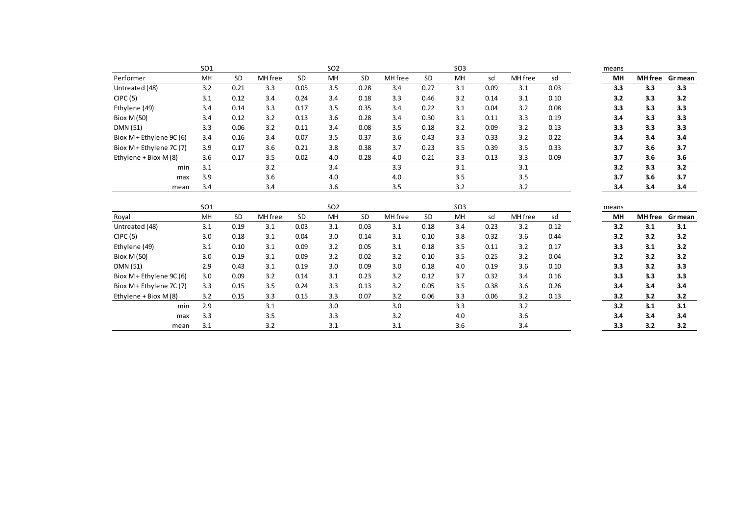|                          | SO <sub>1</sub> |           |         |           | SO <sub>2</sub> |           |         |           | SO <sub>3</sub> |      |         |      | means |                |         |
|--------------------------|-----------------|-----------|---------|-----------|-----------------|-----------|---------|-----------|-----------------|------|---------|------|-------|----------------|---------|
| Performer                | MH              | <b>SD</b> | MH free | SD        | <b>MH</b>       | <b>SD</b> | MH free | <b>SD</b> | MH              | sd   | MH free | sd   | MH    | <b>MH</b> free | Gr mean |
| Untreated (48)           | 3.2             | 0.21      | 3.3     | 0.05      | 3.5             | 0.28      | 3.4     | 0.27      | 3.1             | 0.09 | 3.1     | 0.03 | 3.3   | 3.3            | 3.3     |
| CIPC(5)                  | 3.1             | 0.12      | 3.4     | 0.24      | 3.4             | 0.18      | 3.3     | 0.46      | 3.2             | 0.14 | 3.1     | 0.10 | 3.2   | 3.3            | 3.2     |
| Ethylene (49)            | 3.4             | 0.14      | 3.3     | 0.17      | 3.5             | 0.35      | 3.4     | 0.22      | 3.1             | 0.04 | 3.2     | 0.08 | 3.3   | 3.3            | 3.3     |
| Biox M (50)              | 3.4             | 0.12      | 3.2     | 0.13      | 3.6             | 0.28      | 3.4     | 0.30      | 3.1             | 0.11 | 3.3     | 0.19 | 3.4   | 3.3            | 3.3     |
| <b>DMN (51)</b>          | 3.3             | 0.06      | 3.2     | 0.11      | 3.4             | 0.08      | 3.5     | 0.18      | 3.2             | 0.09 | 3.2     | 0.13 | 3.3   | 3.3            | 3.3     |
| Biox M + Ethylene 9C (6) | 3.4             | 0.16      | 3.4     | 0.07      | 3.5             | 0.37      | 3.6     | 0.43      | 3.3             | 0.33 | 3.2     | 0.22 | 3.4   | 3.4            | 3.4     |
| Biox M + Ethylene 7C (7) | 3.9             | 0.17      | 3.6     | 0.21      | 3.8             | 0.38      | 3.7     | 0.23      | 3.5             | 0.39 | 3.5     | 0.33 | 3.7   | 3.6            | 3.7     |
| Ethylene + Biox M (8)    | 3.6             | 0.17      | 3.5     | 0.02      | 4.0             | 0.28      | 4.0     | 0.21      | 3.3             | 0.13 | 3.3     | 0.09 | 3.7   | 3.6            | 3.6     |
| min                      | 3.1             |           | 3.2     |           | 3.4             |           | 3.3     |           | 3.1             |      | 3.1     |      | 3.2   | 3.3            | 3.2     |
| max                      | 3.9             |           | 3.6     |           | 4.0             |           | 4.0     |           | 3.5             |      | 3.5     |      | 3.7   | 3.6            | 3.7     |
| mean                     | 3.4             |           | 3.4     |           | 3.6             |           | 3.5     |           | 3.2             |      | 3.2     |      | 3.4   | 3.4            | 3.4     |
|                          |                 |           |         |           |                 |           |         |           |                 |      |         |      |       |                |         |
|                          | SO <sub>1</sub> |           |         |           | SO <sub>2</sub> |           |         |           | SO <sub>3</sub> |      |         |      | means |                |         |
| Royal                    | MH              | <b>SD</b> | MH free | <b>SD</b> | MH              | <b>SD</b> | MH free | <b>SD</b> | MH              | sd   | MH free | sd   | MH    | <b>MH</b> free | Gr mean |
| Untreated (48)           | 3.1             | 0.19      | 3.1     | 0.03      | 3.1             | 0.03      | 3.1     | 0.18      | 3.4             | 0.23 | 3.2     | 0.12 | 3.2   | 3.1            | 3.1     |
| CIPC(5)                  | 3.0             | 0.18      | 3.1     | 0.04      | 3.0             | 0.14      | 3.1     | 0.10      | 3.8             | 0.32 | 3.6     | 0.44 | 3.2   | 3.2            | 3.2     |
| Ethylene (49)            | 3.1             | 0.10      | 3.1     | 0.09      | 3.2             | 0.05      | 3.1     | 0.18      | 3.5             | 0.11 | 3.2     | 0.17 | 3.3   | 3.1            | 3.2     |
| Biox M (50)              | 3.0             | 0.19      | 3.1     | 0.09      | 3.2             | 0.02      | 3.2     | 0.10      | 3.5             | 0.25 | 3.2     | 0.04 | 3.2   | 3.2            | 3.2     |
| DMN (51)                 | 2.9             | 0.43      | 3.1     | 0.19      | 3.0             | 0.09      | 3.0     | 0.18      | 4.0             | 0.19 | 3.6     | 0.10 | 3.3   | 3.2            | 3.3     |
| Biox M + Ethylene 9C (6) | 3.0             | 0.09      | 3.2     | 0.14      | 3.1             | 0.23      | 3.2     | 0.12      | 3.7             | 0.32 | 3.4     | 0.16 | 3.3   | 3.3            | 3.3     |
| Biox M + Ethylene 7C (7) | 3.3             | 0.15      | 3.5     | 0.24      | 3.3             | 0.13      | 3.2     | 0.05      | 3.5             | 0.38 | 3.6     | 0.26 | 3.4   | 3.4            | 3.4     |
| Ethylene + Biox M (8)    | 3.2             | 0.15      | 3.3     | 0.15      | 3.3             | 0.07      | 3.2     | 0.06      | 3.3             | 0.06 | 3.2     | 0.13 | 3.2   | 3.2            | 3.2     |
| min                      | 2.9             |           | 3.1     |           | 3.0             |           | 3.0     |           | 3.3             |      | 3.2     |      | 3.2   | 3.1            | 3.1     |
|                          |                 |           |         |           |                 |           |         |           |                 |      |         |      |       |                |         |
| max                      | 3.3             |           | 3.5     |           | 3.3             |           | 3.2     |           | 4.0             |      | 3.6     |      | 3.4   | 3.4            | 3.4     |